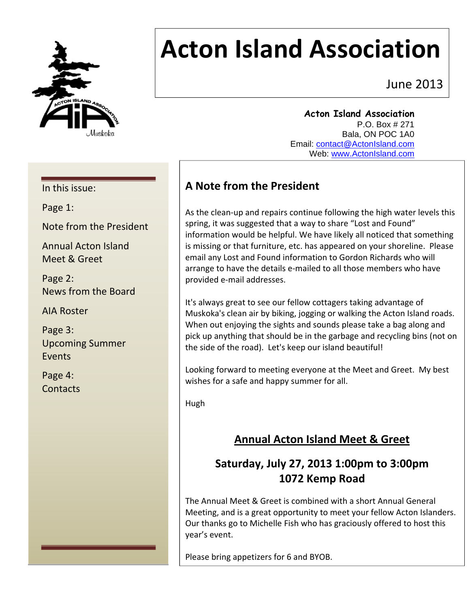

# **Acton Island Association**

June 2013

**Acton Island Association**  P.O. Box # 271 Bala, ON POC 1A0 Email: contact@ActonIsland.com Web: www.ActonIsland.com

#### In this issue:

Page 1:

Note from the President

Annual Acton Island Meet & Greet

Page 2: News from the Board

AIA Roster

Page 3: Upcoming Summer Events

Page 4: **Contacts** 

# **A Note from the President**

As the clean‐up and repairs continue following the high water levels this spring, it was suggested that a way to share "Lost and Found" information would be helpful. We have likely all noticed that something is missing or that furniture, etc. has appeared on your shoreline. Please email any Lost and Found information to Gordon Richards who will arrange to have the details e‐mailed to all those members who have provided e‐mail addresses.

It's always great to see our fellow cottagers taking advantage of Muskoka's clean air by biking, jogging or walking the Acton Island roads. When out enjoying the sights and sounds please take a bag along and pick up anything that should be in the garbage and recycling bins (not on the side of the road). Let's keep our island beautiful!

Looking forward to meeting everyone at the Meet and Greet. My best wishes for a safe and happy summer for all.

Hugh

# **Annual Acton Island Meet & Greet**

# **Saturday, July 27, 2013 1:00pm to 3:00pm 1072 Kemp Road**

The Annual Meet & Greet is combined with a short Annual General Meeting, and is a great opportunity to meet your fellow Acton Islanders. Our thanks go to Michelle Fish who has graciously offered to host this year's event.

Please bring appetizers for 6 and BYOB.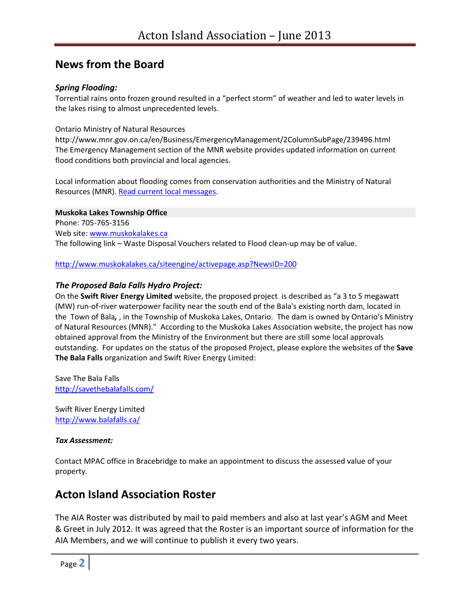## **News from the Board**

#### *Spring Flooding:*

Torrential rains onto frozen ground resulted in a "perfect storm" of weather and led to water levels in the lakes rising to almost unprecedented levels.

Ontario Ministry of Natural Resources

http://www.mnr.gov.on.ca/en/Business/EmergencyManagement/2ColumnSubPage/239496.html The Emergency Management section of the MNR website provides updated information on current flood conditions both provincial and local agencies.

Local information about flooding comes from conservation authorities and the Ministry of Natural Resources (MNR). Read current local messages.

#### **Muskoka Lakes Township Office**

Phone: 705‐765‐3156 Web site: www.muskokalakes.ca The following link – Waste Disposal Vouchers related to Flood clean-up may be of value.

http://www.muskokalakes.ca/siteengine/activepage.asp?NewsID=200

#### *The Proposed Bala Falls Hydro Project:*

On the **Swift River Energy Limited** website, the proposed project is described as "a 3 to 5 megawatt (MW) run‐of‐river waterpower facility near the south end of the Bala's existing north dam, located in the Town of Bala*,* , in the Township of Muskoka Lakes, Ontario. The dam is owned by Ontario's Ministry of Natural Resources (MNR)." According to the Muskoka Lakes Association website, the project has now obtained approval from the Ministry of the Environment but there are still some local approvals outstanding. For updates on the status of the proposed Project, please explore the websites of the **Save The Bala Falls** organization and Swift River Energy Limited:

Save The Bala Falls http://savethebalafalls.com/

Swift River Energy Limited http://www.balafalls.ca/

#### *Tax Assessment:*

Contact MPAC office in Bracebridge to make an appointment to discuss the assessed value of your property.

## **Acton Island Association Roster**

The AIA Roster was distributed by mail to paid members and also at last year's AGM and Meet & Greet in July 2012. It was agreed that the Roster is an important source of information for the AIA Members, and we will continue to publish it every two years.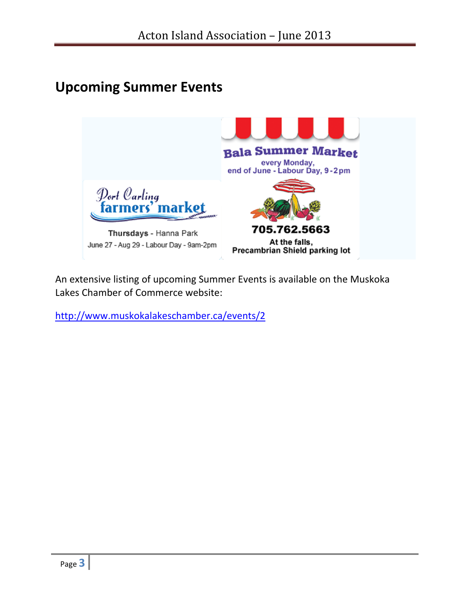# **Upcoming Summer Events**



An extensive listing of upcoming Summer Events is available on the Muskoka Lakes Chamber of Commerce website:

http://www.muskokalakeschamber.ca/events/2